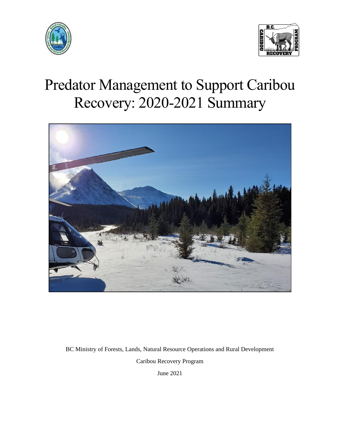



# Predator Management to Support Caribou Recovery: 2020-2021 Summary



BC Ministry of Forests, Lands, Natural Resource Operations and Rural Development Caribou Recovery Program

June 2021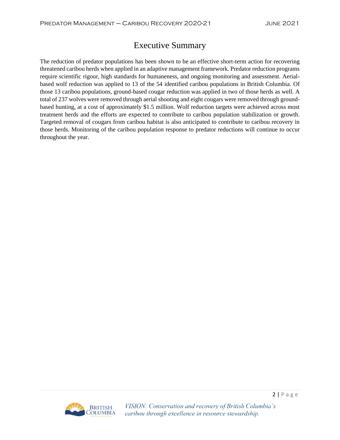# Executive Summary

The reduction of predator populations has been shown to be an effective short-term action for recovering threatened caribou herds when applied in an adaptive management framework. Predator reduction programs require scientific rigour, high standards for humaneness, and ongoing monitoring and assessment. Aerialbased wolf reduction was applied to 13 of the 54 identified caribou populations in British Columbia. Of those 13 caribou populations, ground-based cougar reduction was applied in two of those herds as well. A total of 237 wolves were removed through aerial shooting and eight cougars were removed through groundbased hunting, at a cost of approximately \$1.5 million. Wolf reduction targets were achieved across most treatment herds and the efforts are expected to contribute to caribou population stabilization or growth. Targeted removal of cougars from caribou habitat is also anticipated to contribute to caribou recovery in those herds. Monitoring of the caribou population response to predator reductions will continue to occur throughout the year.

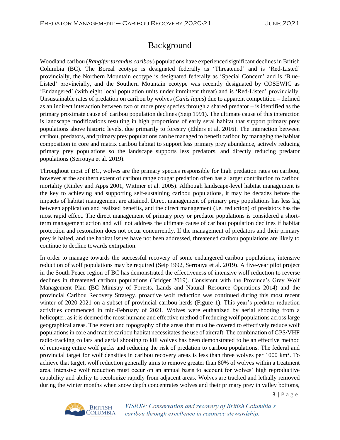# Background

Woodland caribou (*Rangifer tarandus caribou*) populations have experienced significant declines in British Columbia (BC). The Boreal ecotype is designated federally as 'Threatened' and is 'Red-Listed' provincially, the Northern Mountain ecotype is designated federally as 'Special Concern' and is 'Blue-Listed' provincially, and the Southern Mountain ecotype was recently designated by COSEWIC as 'Endangered' (with eight local population units under imminent threat) and is 'Red-Listed' provincially. Unsustainable rates of predation on caribou by wolves (*Canis lupus*) due to apparent competition – defined as an indirect interaction between two or more prey species through a shared predator – is identified as the primary proximate cause of caribou population declines (Seip 1991). The ultimate cause of this interaction is landscape modifications resulting in high proportions of early seral habitat that support primary prey populations above historic levels, due primarily to forestry (Ehlers et al. 2016). The interaction between caribou, predators, and primary prey populations can be managed to benefit caribou by managing the habitat composition in core and matrix caribou habitat to support less primary prey abundance, actively reducing primary prey populations so the landscape supports less predators, and directly reducing predator populations (Serrouya et al. 2019).

Throughout most of BC, wolves are the primary species responsible for high predation rates on caribou, however at the southern extent of caribou range cougar predation often has a larger contribution to caribou mortality (Kinley and Apps 2001, Wittmer et al. 2005). Although landscape-level habitat management is the key to achieving and supporting self-sustaining caribou populations, it may be decades before the impacts of habitat management are attained. Direct management of primary prey populations has less lag between application and realized benefits, and the direct management (i.e. reduction) of predators has the most rapid effect. The direct management of primary prey or predator populations is considered a shortterm management action and will not address the ultimate cause of caribou population declines if habitat protection and restoration does not occur concurrently. If the management of predators and their primary prey is halted, and the habitat issues have not been addressed, threatened caribou populations are likely to continue to decline towards extirpation.

In order to manage towards the successful recovery of some endangered caribou populations, intensive reduction of wolf populations may be required (Seip 1992, Serrouya et al. 2019). A five-year pilot project in the South Peace region of BC has demonstrated the effectiveness of intensive wolf reduction to reverse declines in threatened caribou populations (Bridger 2019). Consistent with the Province's Grey Wolf Management Plan (BC Ministry of Forests, Lands and Natural Resource Operations 2014) and the provincial Caribou Recovery Strategy, proactive wolf reduction was continued during this most recent winter of 2020-2021 on a subset of provincial caribou herds (Figure 1). This year's predator reduction activities commenced in mid-February of 2021. Wolves were euthanized by aerial shooting from a helicopter, as it is deemed the most humane and effective method of reducing wolf populations across large geographical areas. The extent and topography of the areas that must be covered to effectively reduce wolf populationsin core and matrix caribou habitat necessitates the use of aircraft. The combination of GPS/VHF radio-tracking collars and aerial shooting to kill wolves has been demonstrated to be an effective method of removing entire wolf packs and reducing the risk of predation to caribou populations. The federal and provincial target for wolf densities in caribou recovery areas is less than three wolves per 1000 km<sup>2</sup>. To achieve that target, wolf reduction generally aims to remove greater than 80% of wolves within a treatment area. Intensive wolf reduction must occur on an annual basis to account for wolves' high reproductive capability and ability to recolonize rapidly from adjacent areas. Wolves are tracked and lethally removed during the winter months when snow depth concentrates wolves and their primary prey in valley bottoms,



VISION: Conservation and recovery of British Columbia's caribou through excellence in resource stewardship.

 $3 | P \text{age}$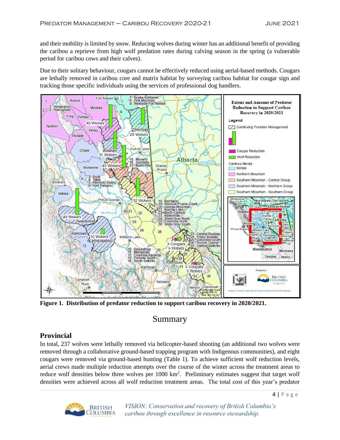and their mobility is limited by snow. Reducing wolves during winter has an additional benefit of providing the caribou a reprieve from high wolf predation rates during calving season in the spring (a vulnerable period for caribou cows and their calves).

Due to their solitary behaviour, cougars cannot be effectively reduced using aerial-based methods. Cougars are lethally removed in caribou core and matrix habitat by surveying caribou habitat for cougar sign and tracking those specific individuals using the services of professional dog handlers.



**Figure 1. Distribution of predator reduction to support caribou recovery in 2020/2021.**

## Summary

### **Provincial**

In total, 237 wolves were lethally removed via helicopter-based shooting (an additional two wolves were removed through a collaborative ground-based trapping program with Indigenous communities), and eight cougars were removed via ground-based hunting (Table 1). To achieve sufficient wolf reduction levels, aerial crews made multiple reduction attempts over the course of the winter across the treatment areas to reduce wolf densities below three wolves per 1000 km<sup>2</sup>. Preliminary estimates suggest that target wolf densities were achieved across all wolf reduction treatment areas. The total cost of this year's predator



VISION: Conservation and recovery of British Columbia's caribou through excellence in resource stewardship.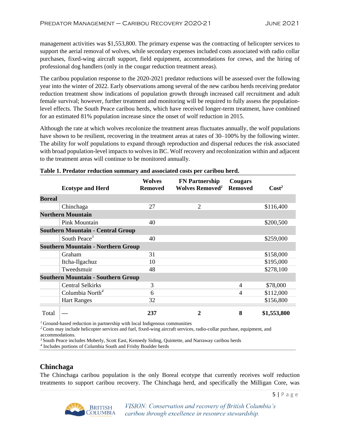management activities was \$1,553,800. The primary expense was the contracting of helicopter services to support the aerial removal of wolves, while secondary expenses included costs associated with radio collar purchases, fixed-wing aircraft support, field equipment, accommodations for crews, and the hiring of professional dog handlers (only in the cougar reduction treatment areas).

The caribou population response to the 2020-2021 predator reductions will be assessed over the following year into the winter of 2022. Early observations among several of the new caribou herds receiving predator reduction treatment show indications of population growth through increased calf recruitment and adult female survival; however, further treatment and monitoring will be required to fully assess the populationlevel effects. The South Peace caribou herds, which have received longer-term treatment, have combined for an estimated 81% population increase since the onset of wolf reduction in 2015.

Although the rate at which wolves recolonize the treatment areas fluctuates annually, the wolf populations have shown to be resilient, recovering in the treatment areas at rates of 30–100% by the following winter. The ability for wolf populations to expand through reproduction and dispersal reduces the risk associated with broad population-level impacts to wolves in BC. Wolf recovery and recolonization within and adjacent to the treatment areas will continue to be monitored annually.

|                                           | <b>Ecotype and Herd</b>     | <b>Wolves</b><br><b>Removed</b> | <b>FN Partnership</b><br>Wolves Removed <sup>1</sup> | Cougars<br><b>Removed</b> | Cost <sup>2</sup> |
|-------------------------------------------|-----------------------------|---------------------------------|------------------------------------------------------|---------------------------|-------------------|
|                                           |                             |                                 |                                                      |                           |                   |
| <b>Boreal</b>                             |                             |                                 |                                                      |                           |                   |
|                                           | Chinchaga                   | 27                              | $\overline{2}$                                       |                           | \$116,400         |
| <b>Northern Mountain</b>                  |                             |                                 |                                                      |                           |                   |
|                                           | Pink Mountain               | 40                              |                                                      |                           | \$200,500         |
| <b>Southern Mountain - Central Group</b>  |                             |                                 |                                                      |                           |                   |
|                                           | South Peace <sup>3</sup>    | 40                              |                                                      |                           | \$259,000         |
| <b>Southern Mountain - Northern Group</b> |                             |                                 |                                                      |                           |                   |
|                                           | Graham                      | 31                              |                                                      |                           | \$158,000         |
|                                           | Itcha-Ilgachuz              | 10                              |                                                      |                           | \$195,000         |
|                                           | Tweedsmuir                  | 48                              |                                                      |                           | \$278,100         |
| <b>Southern Mountain - Southern Group</b> |                             |                                 |                                                      |                           |                   |
|                                           | <b>Central Selkirks</b>     | 3                               |                                                      | 4                         | \$78,000          |
|                                           | Columbia North <sup>4</sup> | 6                               |                                                      | 4                         | \$112,000         |
|                                           | <b>Hart Ranges</b>          | 32                              |                                                      |                           | \$156,800         |
| Total                                     |                             | 237                             | 2                                                    | 8                         | \$1,553,800       |

#### **Table 1. Predator reduction summary and associated costs per caribou herd.**

*<sup>1</sup>* Ground-based reduction in partnership with local Indigenous communities

*<sup>2</sup>*Costs may include helicopter services and fuel, fixed-wing aircraft services, radio-collar purchase, equipment, and accommodations.

*<sup>3</sup>* South Peace includes Moberly, Scott East, Kennedy Siding, Quintette, and Narraway caribou herds

*4* Includes portions of Columbia South and Frisby Boulder herds

#### **Chinchaga**

The Chinchaga caribou population is the only Boreal ecotype that currently receives wolf reduction treatments to support caribou recovery. The Chinchaga herd, and specifically the Milligan Core, was



VISION: Conservation and recovery of British Columbia's caribou through excellence in resource stewardship.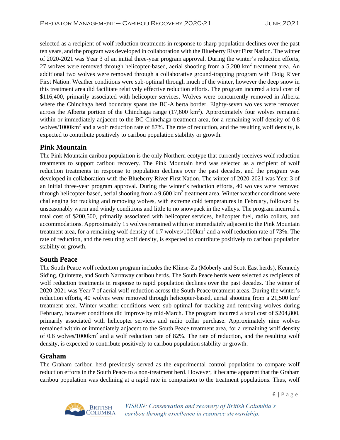selected as a recipient of wolf reduction treatments in response to sharp population declines over the past ten years, and the program was developed in collaboration with the Blueberry River First Nation. The winter of 2020-2021 was Year 3 of an initial three-year program approval. During the winter's reduction efforts, 27 wolves were removed through helicopter-based, aerial shooting from a  $5,200 \text{ km}^2$  treatment area. An additional two wolves were removed through a collaborative ground-trapping program with Doig River First Nation. Weather conditions were sub-optimal through much of the winter, however the deep snow in this treatment area did facilitate relatively effective reduction efforts. The program incurred a total cost of \$116,400, primarily associated with helicopter services. Wolves were concurrently removed in Alberta where the Chinchaga herd boundary spans the BC-Alberta border. Eighty-seven wolves were removed across the Alberta portion of the Chinchaga range  $(17,600 \text{ km}^2)$ . Approximately four wolves remained within or immediately adjacent to the BC Chinchaga treatment area, for a remaining wolf density of 0.8 wolves/1000km<sup>2</sup> and a wolf reduction rate of 87%. The rate of reduction, and the resulting wolf density, is expected to contribute positively to caribou population stability or growth.

#### **Pink Mountain**

The Pink Mountain caribou population is the only Northern ecotype that currently receives wolf reduction treatments to support caribou recovery. The Pink Mountain herd was selected as a recipient of wolf reduction treatments in response to population declines over the past decades, and the program was developed in collaboration with the Blueberry River First Nation. The winter of 2020-2021 was Year 3 of an initial three-year program approval. During the winter's reduction efforts, 40 wolves were removed through helicopter-based, aerial shooting from a  $9,600 \text{ km}^2$  treatment area. Winter weather conditions were challenging for tracking and removing wolves, with extreme cold temperatures in February, followed by unseasonably warm and windy conditions and little to no snowpack in the valleys. The program incurred a total cost of \$200,500, primarily associated with helicopter services, helicopter fuel, radio collars, and accommodations. Approximately 15 wolves remained within or immediately adjacent to the Pink Mountain treatment area, for a remaining wolf density of 1.7 wolves/1000km<sup>2</sup> and a wolf reduction rate of 73%. The rate of reduction, and the resulting wolf density, is expected to contribute positively to caribou population stability or growth.

#### **South Peace**

The South Peace wolf reduction program includes the Klinse-Za (Moberly and Scott East herds), Kennedy Siding, Quintette, and South Narraway caribou herds. The South Peace herds were selected as recipients of wolf reduction treatments in response to rapid population declines over the past decades. The winter of 2020-2021 was Year 7 of aerial wolf reduction across the South Peace treatment areas. During the winter's reduction efforts, 40 wolves were removed through helicopter-based, aerial shooting from a 21,500 km<sup>2</sup> treatment area. Winter weather conditions were sub-optimal for tracking and removing wolves during February, however conditions did improve by mid-March. The program incurred a total cost of \$204,800, primarily associated with helicopter services and radio collar purchase. Approximately nine wolves remained within or immediately adjacent to the South Peace treatment area, for a remaining wolf density of 0.6 wolves/1000km<sup>2</sup> and a wolf reduction rate of 82%. The rate of reduction, and the resulting wolf density, is expected to contribute positively to caribou population stability or growth.

#### **Graham**

The Graham caribou herd previously served as the experimental control population to compare wolf reduction efforts in the South Peace to a non-treatment herd. However, it became apparent that the Graham caribou population was declining at a rapid rate in comparison to the treatment populations. Thus, wolf

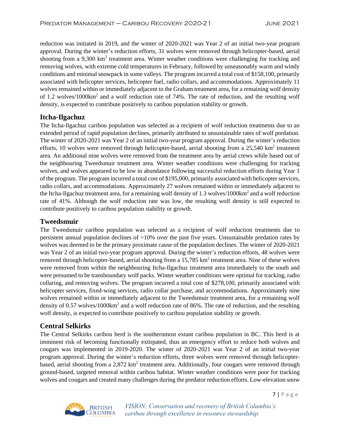reduction was initiated in 2019, and the winter of 2020-2021 was Year 2 of an initial two-year program approval. During the winter's reduction efforts, 31 wolves were removed through helicopter-based, aerial shooting from a 9,300 km<sup>2</sup> treatment area. Winter weather conditions were challenging for tracking and removing wolves, with extreme cold temperatures in February, followed by unseasonably warm and windy conditions and minimal snowpack in some valleys. The program incurred a total cost of \$158,100, primarily associated with helicopter services, helicopter fuel, radio collars, and accommodations. Approximately 11 wolves remained within or immediately adjacent to the Graham treatment area, for a remaining wolf density of 1.2 wolves/1000km<sup>2</sup> and a wolf reduction rate of 74%. The rate of reduction, and the resulting wolf density, is expected to contribute positively to caribou population stability or growth.

#### **Itcha-Ilgachuz**

The Itcha-Ilgachuz caribou population was selected as a recipient of wolf reduction treatments due to an extended period of rapid population declines, primarily attributed to unsustainable rates of wolf predation. The winter of 2020-2021 was Year 2 of an initial two-year program approval. During the winter's reduction efforts, 10 wolves were removed through helicopter-based, aerial shooting from a  $25,540 \text{ km}^2$  treatment area. An additional nine wolves were removed from the treatment area by aerial crews while based out of the neighbouring Tweedsmuir treatment area. Winter weather conditions were challenging for tracking wolves, and wolves appeared to be low in abundance following successful reduction efforts during Year 1 of the program. The program incurred a total cost of \$195,000, primarily associated with helicopter services, radio collars, and accommodations. Approximately 27 wolves remained within or immediately adjacent to the Itcha-Ilgachuz treatment area, for a remaining wolf density of 1.3 wolves/1000km<sup>2</sup> and a wolf reduction rate of 41%. Although the wolf reduction rate was low, the resulting wolf density is still expected to contribute positively to caribou population stability or growth.

#### **Tweedsmuir**

The Tweedsmuir caribou population was selected as a recipient of wolf reduction treatments due to persistent annual population declines of >10% over the past five years. Unsustainable predation rates by wolves was deemed to be the primary proximate cause of the population declines. The winter of 2020-2021 was Year 2 of an initial two-year program approval. During the winter's reduction efforts, 48 wolves were removed through helicopter-based, aerial shooting from a  $15,785 \text{ km}^2$  treatment area. Nine of these wolves were removed from within the neighbouring Itcha-Ilgachuz treatment area immediately to the south and were presumed to be transboundary wolf packs. Winter weather conditions were optimal for tracking, radio collaring, and removing wolves. The program incurred a total cost of \$278,100, primarily associated with helicopter services, fixed-wing services, radio collar purchase, and accommodations. Approximately nine wolves remained within or immediately adjacent to the Tweedsmuir treatment area, for a remaining wolf density of 0.57 wolves/1000km<sup>2</sup> and a wolf reduction rate of 86%. The rate of reduction, and the resulting wolf density, is expected to contribute positively to caribou population stability or growth.

#### **Central Selkirks**

The Central Selkirks caribou herd is the southernmost extant caribou population in BC. This herd is at imminent risk of becoming functionally extirpated, thus an emergency effort to reduce both wolves and cougars was implemented in 2019-2020. The winter of 2020-2021 was Year 2 of an initial two-year program approval. During the winter's reduction efforts, three wolves were removed through helicopterbased, aerial shooting from a 2,872  $km^2$  treatment area. Additionally, four cougars were removed through ground-based, targeted removal within caribou habitat. Winter weather conditions were poor for tracking wolves and cougars and created many challenges during the predator reduction efforts. Low-elevation snow



VISION: Conservation and recovery of British Columbia's caribou through excellence in resource stewardship.

7 | P a g e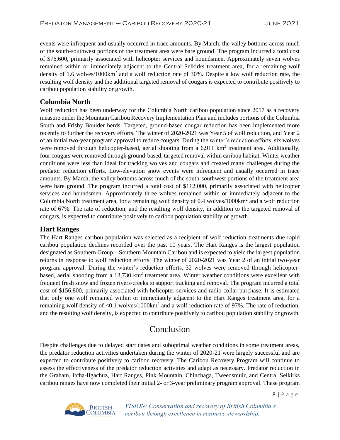events were infrequent and usually occurred in trace amounts. By March, the valley bottoms across much of the south-southwest portions of the treatment area were bare ground. The program incurred a total cost of \$76,600, primarily associated with helicopter services and houndsmen. Approximately seven wolves remained within or immediately adjacent to the Central Selkirks treatment area, for a remaining wolf density of 1.6 wolves/1000km<sup>2</sup> and a wolf reduction rate of 30%. Despite a low wolf reduction rate, the resulting wolf density and the additional targeted removal of cougars is expected to contribute positively to caribou population stability or growth.

#### **Columbia North**

Wolf reduction has been underway for the Columbia North caribou population since 2017 as a recovery measure under the Mountain Caribou Recovery Implementation Plan and includes portions of the Columbia South and Frisby Boulder herds. Targeted, ground-based cougar reduction has been implemented more recently to further the recovery efforts. The winter of 2020-2021 was Year 5 of wolf reduction, and Year 2 of an initial two-year program approval to reduce cougars. During the winter's reduction efforts, six wolves were removed through helicopter-based, aerial shooting from a  $6.911 \text{ km}^2$  treatment area. Additionally, four cougars were removed through ground-based, targeted removal within caribou habitat. Winter weather conditions were less than ideal for tracking wolves and cougars and created many challenges during the predator reduction efforts. Low-elevation snow events were infrequent and usually occurred in trace amounts. By March, the valley bottoms across much of the south-southwest portions of the treatment area were bare ground. The program incurred a total cost of \$112,000, primarily associated with helicopter services and houndsmen. Approximately three wolves remained within or immediately adjacent to the Columbia North treatment area, for a remaining wolf density of  $0.4$  wolves/1000km<sup>2</sup> and a wolf reduction rate of 67%. The rate of reduction, and the resulting wolf density, in addition to the targeted removal of cougars, is expected to contribute positively to caribou population stability or growth.

#### **Hart Ranges**

The Hart Ranges caribou population was selected as a recipient of wolf reduction treatments due rapid caribou population declines recorded over the past 10 years. The Hart Ranges is the largest population designated as Southern Group – Southern Mountain Caribou and is expected to yield the largest population returns in response to wolf reduction efforts. The winter of 2020-2021 was Year 2 of an initial two-year program approval. During the winter's reduction efforts, 32 wolves were removed through helicopterbased, aerial shooting from a 13,730 km<sup>2</sup> treatment area. Winter weather conditions were excellent with frequent fresh snow and frozen rivers/creeks to support tracking and removal. The program incurred a total cost of \$156,800, primarily associated with helicopter services and radio collar purchase. It is estimated that only one wolf remained within or immediately adjacent to the Hart Ranges treatment area, for a remaining wolf density of  $\langle 0.1 \text{ wolves}/1000 \text{km}^2$  and a wolf reduction rate of 97%. The rate of reduction, and the resulting wolf density, is expected to contribute positively to caribou population stability or growth.

## Conclusion

Despite challenges due to delayed start dates and suboptimal weather conditions in some treatment areas, the predator reduction activities undertaken during the winter of 2020-21 were largely successful and are expected to contribute positively to caribou recovery. The Caribou Recovery Program will continue to assess the effectiveness of the predator reduction activities and adapt as necessary. Predator reduction in the Graham, Itcha-Ilgachuz, Hart Ranges, Pink Mountain, Chinchaga, Tweedsmuir, and Central Selkirks caribou ranges have now completed their initial 2- or 3-year preliminary program approval. These program



VISION: Conservation and recovery of British Columbia's caribou through excellence in resource stewardship.